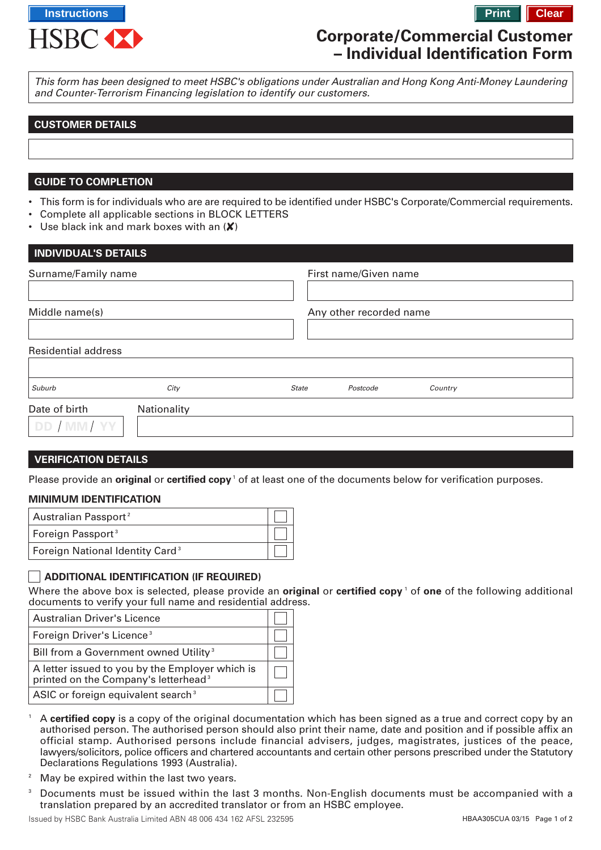

# **Corporate/Commercial Customer – Individual Identification Form**

This form has been designed to meet HSBC's obligations under Australian and Hong Kong Anti-Money Laundering and Counter-Terrorism Financing legislation to identify our customers.

# **CUSTOMER DETAILS**

## **GUIDE TO COMPLETION**

- This form is for individuals who are are required to be identified under HSBC's Corporate/Commercial requirements.
- Complete all applicable sections in BLOCK LETTERS
- Use black ink and mark boxes with an  $(X)$

| <b>INDIVIDUAL'S DETAILS</b> |             |                                     |  |
|-----------------------------|-------------|-------------------------------------|--|
| Surname/Family name         |             | First name/Given name               |  |
|                             |             |                                     |  |
| Middle name(s)              |             | Any other recorded name             |  |
|                             |             |                                     |  |
| <b>Residential address</b>  |             |                                     |  |
|                             |             |                                     |  |
| Suburb                      | City        | <b>State</b><br>Postcode<br>Country |  |
| Date of birth               | Nationality |                                     |  |
| DD / MM/ YY                 |             |                                     |  |
|                             |             |                                     |  |

### **VERIFICATION DETAILS**

Please provide an **original** or **certified copy**<sup>1</sup> of at least one of the documents below for verification purposes.

#### **MINIMUM IDENTIFICATION**

| Australian Passport <sup>2</sup>            |  |
|---------------------------------------------|--|
| Foreign Passport <sup>3</sup>               |  |
| Foreign National Identity Card <sup>3</sup> |  |

### **ADDITIONAL IDENTIFICATION (IF REQUIRED)**

Where the above box is selected, please provide an **original** or **certified copy** ' of **one** of the following additional documents to verify your full name and residential address.

| <b>Australian Driver's Licence</b>                                                                  |  |
|-----------------------------------------------------------------------------------------------------|--|
| Foreign Driver's Licence <sup>3</sup>                                                               |  |
| Bill from a Government owned Utility <sup>3</sup>                                                   |  |
| A letter issued to you by the Employer which is<br>printed on the Company's letterhead <sup>3</sup> |  |
| ASIC or foreign equivalent search <sup>3</sup>                                                      |  |

- <sup>1</sup> A **certified copy** is a copy of the original documentation which has been signed as a true and correct copy by an authorised person. The authorised person should also print their name, date and position and if possible affix an official stamp. Authorised persons include financial advisers, judges, magistrates, justices of the peace, lawyers/solicitors, police officers and chartered accountants and certain other persons prescribed under the Statutory Declarations Regulations 1993 (Australia).
- <sup>2</sup> May be expired within the last two years.
- <sup>3</sup> Documents must be issued within the last 3 months. Non-English documents must be accompanied with a translation prepared by an accredited translator or from an HSBC employee.